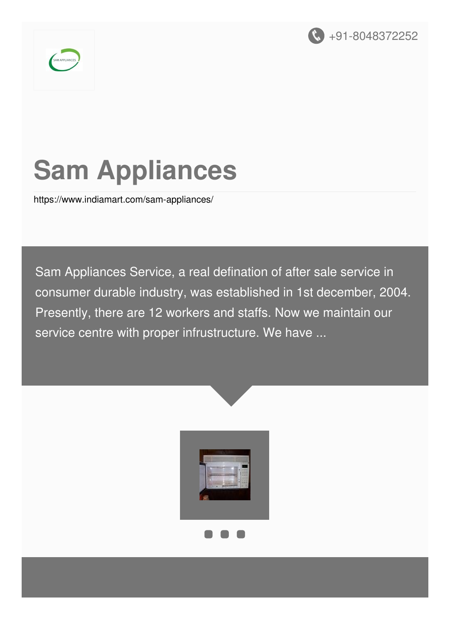



# **Sam Appliances**

<https://www.indiamart.com/sam-appliances/>

Sam Appliances Service, a real defination of after sale service in consumer durable industry, was established in 1st december, 2004. Presently, there are 12 workers and staffs. Now we maintain our service centre with proper infrustructure. We have ...



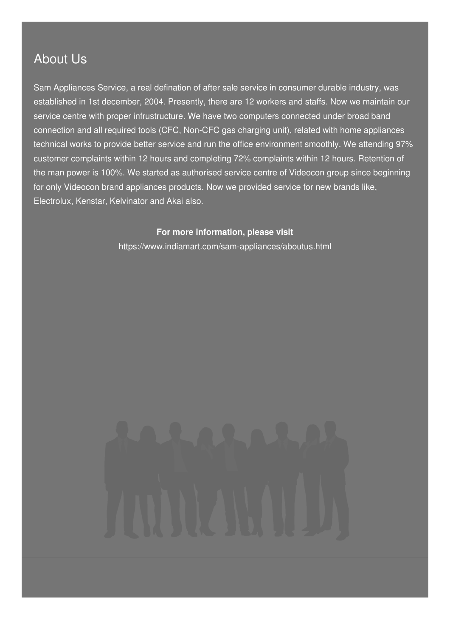### About Us

Sam Appliances Service, a real defination of after sale service in consumer durable industry, was established in 1st december, 2004. Presently, there are 12 workers and staffs. Now we maintain our service centre with proper infrustructure. We have two computers connected under broad band connection and all required tools (CFC, Non-CFC gas charging unit), related with home appliances technical works to provide better service and run the office environment smoothly. We attending 97% customer complaints within 12 hours and completing 72% complaints within 12 hours. Retention of the man power is 100%. We started as authorised service centre of Videocon group since beginning for only Videocon brand appliances products. Now we provided service for new brands like, Electrolux, Kenstar, Kelvinator and Akai also.

> **For more information, please visit** <https://www.indiamart.com/sam-appliances/aboutus.html>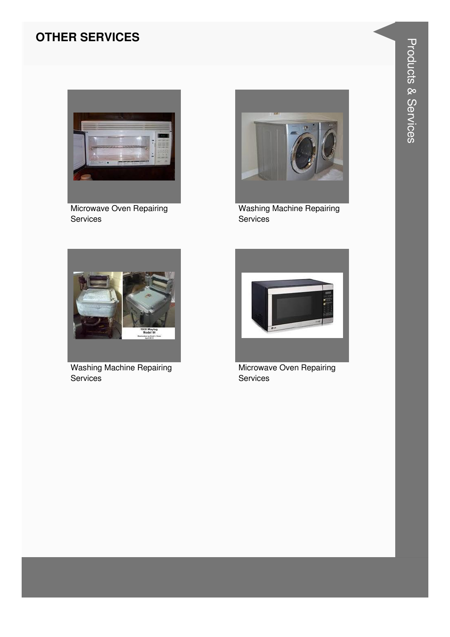#### **OTHER SERVICES**



Microwave Oven Repairing Services



**Washing Machine Repairing** Services



**Washing Machine Repairing** Services



Microwave Oven Repairing Services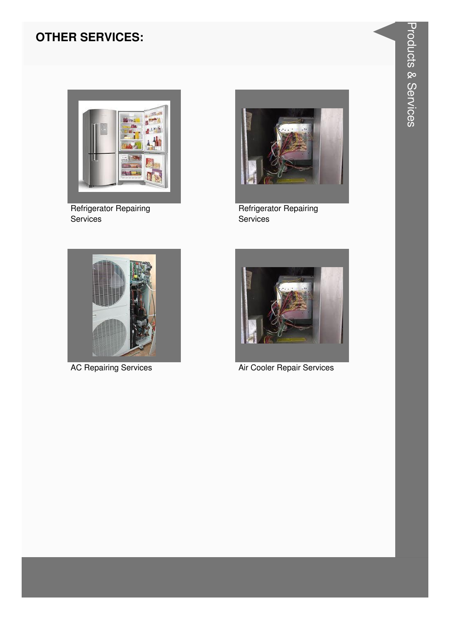#### **OTHER SERVICES:**



Refrigerator Repairing Services



Refrigerator Repairing Services



**AC Repairing Services** 



Air Cooler Repair Services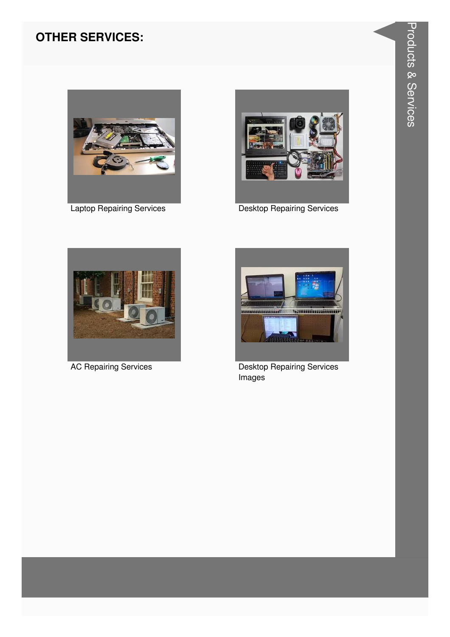#### **OTHER SERVICES:**



**Laptop Repairing Services** 



**Desktop Repairing Services** 



**AC Repairing Services** 



Desktop Repairing Services Images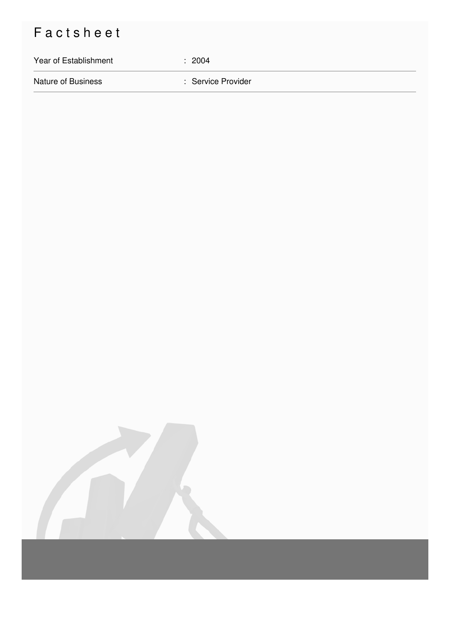## Factsheet

# Year of Establishment : 2004 Nature of Business **in American Service Provider** : Service Provider